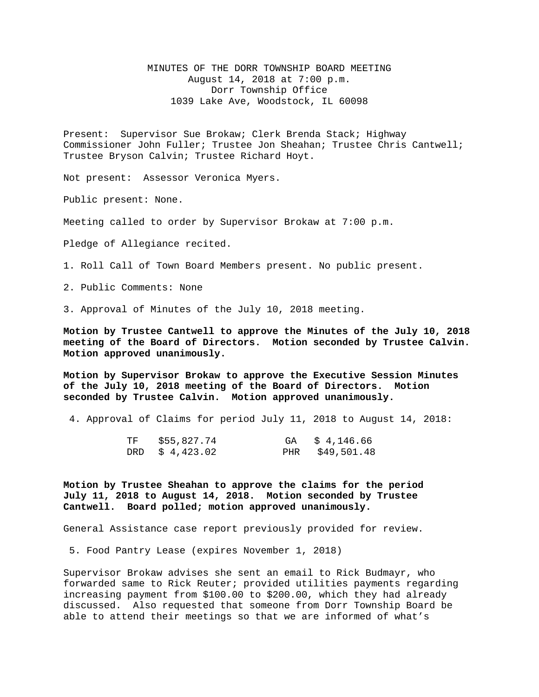MINUTES OF THE DORR TOWNSHIP BOARD MEETING August 14, 2018 at 7:00 p.m. Dorr Township Office 1039 Lake Ave, Woodstock, IL 60098

Present: Supervisor Sue Brokaw; Clerk Brenda Stack; Highway Commissioner John Fuller; Trustee Jon Sheahan; Trustee Chris Cantwell; Trustee Bryson Calvin; Trustee Richard Hoyt.

Not present: Assessor Veronica Myers.

Public present: None.

Meeting called to order by Supervisor Brokaw at 7:00 p.m.

Pledge of Allegiance recited.

1. Roll Call of Town Board Members present. No public present.

2. Public Comments: None

3. Approval of Minutes of the July 10, 2018 meeting.

**Motion by Trustee Cantwell to approve the Minutes of the July 10, 2018 meeting of the Board of Directors. Motion seconded by Trustee Calvin. Motion approved unanimously.**

**Motion by Supervisor Brokaw to approve the Executive Session Minutes of the July 10, 2018 meeting of the Board of Directors. Motion seconded by Trustee Calvin. Motion approved unanimously.**

4. Approval of Claims for period July 11, 2018 to August 14, 2018:

| TF \$55,827.74  | GA \$ 4,146.66  |
|-----------------|-----------------|
| DRD $$4,423.02$ | PHR \$49,501.48 |

**Motion by Trustee Sheahan to approve the claims for the period July 11, 2018 to August 14, 2018. Motion seconded by Trustee Cantwell. Board polled; motion approved unanimously.**

General Assistance case report previously provided for review.

5. Food Pantry Lease (expires November 1, 2018)

Supervisor Brokaw advises she sent an email to Rick Budmayr, who forwarded same to Rick Reuter; provided utilities payments regarding increasing payment from \$100.00 to \$200.00, which they had already discussed. Also requested that someone from Dorr Township Board be able to attend their meetings so that we are informed of what's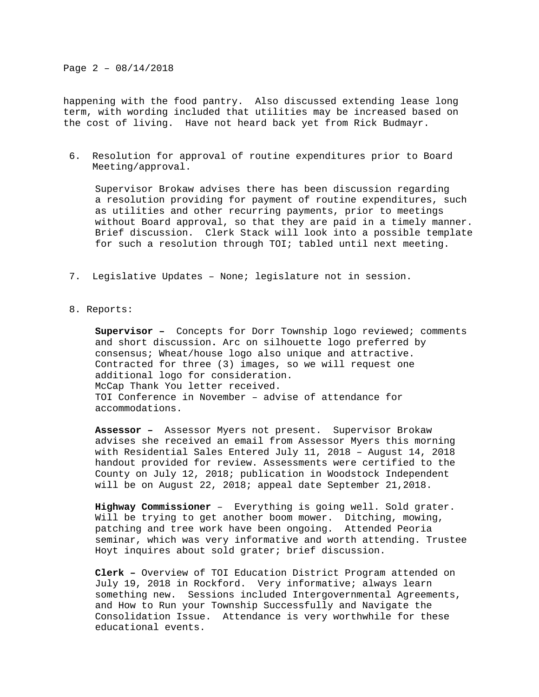Page 2 – 08/14/2018

happening with the food pantry. Also discussed extending lease long term, with wording included that utilities may be increased based on the cost of living. Have not heard back yet from Rick Budmayr.

6. Resolution for approval of routine expenditures prior to Board Meeting/approval.

Supervisor Brokaw advises there has been discussion regarding a resolution providing for payment of routine expenditures, such as utilities and other recurring payments, prior to meetings without Board approval, so that they are paid in a timely manner. Brief discussion. Clerk Stack will look into a possible template for such a resolution through TOI; tabled until next meeting.

- 7. Legislative Updates None; legislature not in session.
- 8. Reports:

**Supervisor –** Concepts for Dorr Township logo reviewed; comments and short discussion**.** Arc on silhouette logo preferred by consensus; Wheat/house logo also unique and attractive. Contracted for three (3) images, so we will request one additional logo for consideration. McCap Thank You letter received. TOI Conference in November – advise of attendance for accommodations.

**Assessor –** Assessor Myers not present. Supervisor Brokaw advises she received an email from Assessor Myers this morning with Residential Sales Entered July 11, 2018 – August 14, 2018 handout provided for review. Assessments were certified to the County on July 12, 2018; publication in Woodstock Independent will be on August 22, 2018; appeal date September 21,2018.

**Highway Commissioner** – Everything is going well. Sold grater. Will be trying to get another boom mower. Ditching, mowing, patching and tree work have been ongoing. Attended Peoria seminar, which was very informative and worth attending. Trustee Hoyt inquires about sold grater; brief discussion.

**Clerk –** Overview of TOI Education District Program attended on July 19, 2018 in Rockford. Very informative; always learn something new. Sessions included Intergovernmental Agreements, and How to Run your Township Successfully and Navigate the Consolidation Issue. Attendance is very worthwhile for these educational events.